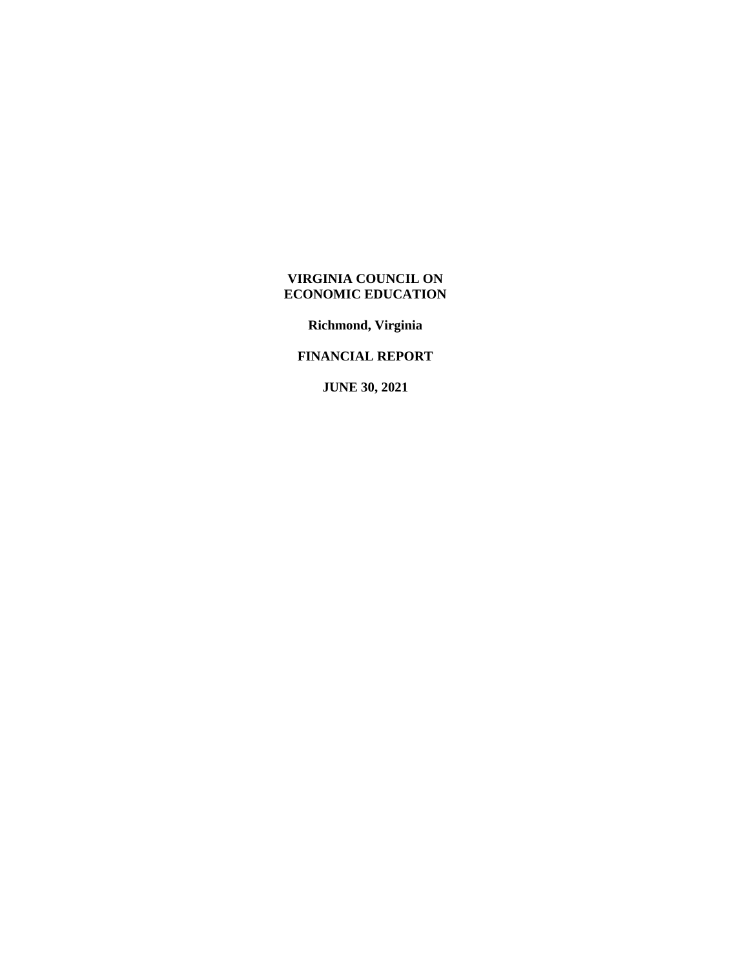**Richmond, Virginia**

**FINANCIAL REPORT**

**JUNE 30, 2021**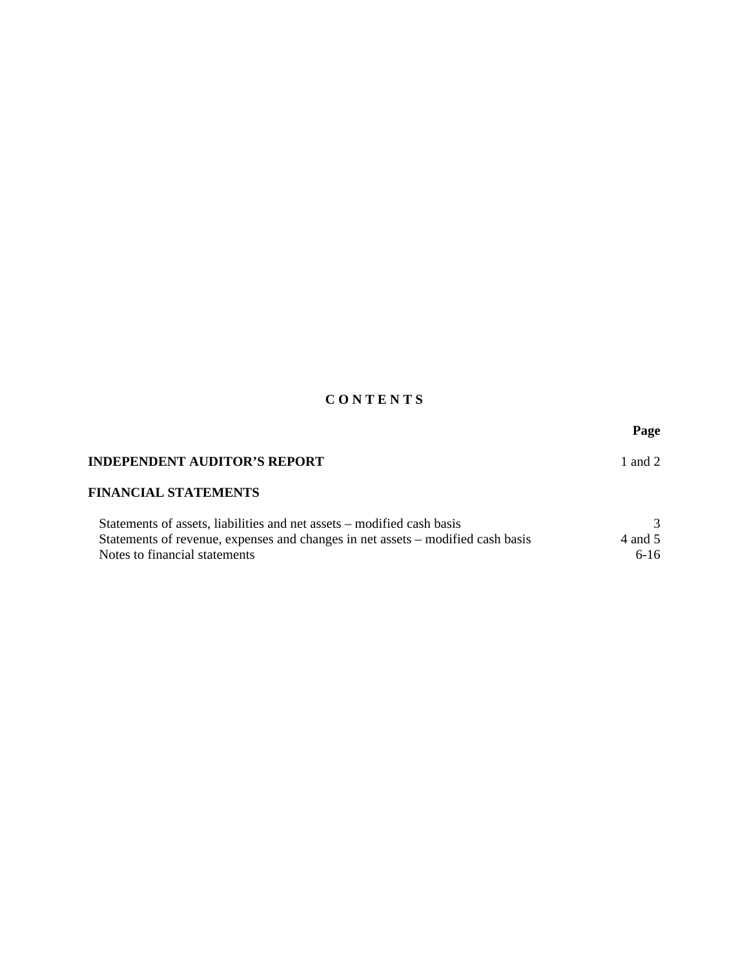# **C O N T E N T S**

|                                                                                 | Page     |
|---------------------------------------------------------------------------------|----------|
| <b>INDEPENDENT AUDITOR'S REPORT</b>                                             | 1 and 2  |
| FINANCIAL STATEMENTS                                                            |          |
| Statements of assets, liabilities and net assets – modified cash basis          |          |
| Statements of revenue, expenses and changes in net assets – modified cash basis | 4 and 5  |
| Notes to financial statements                                                   | $6 - 16$ |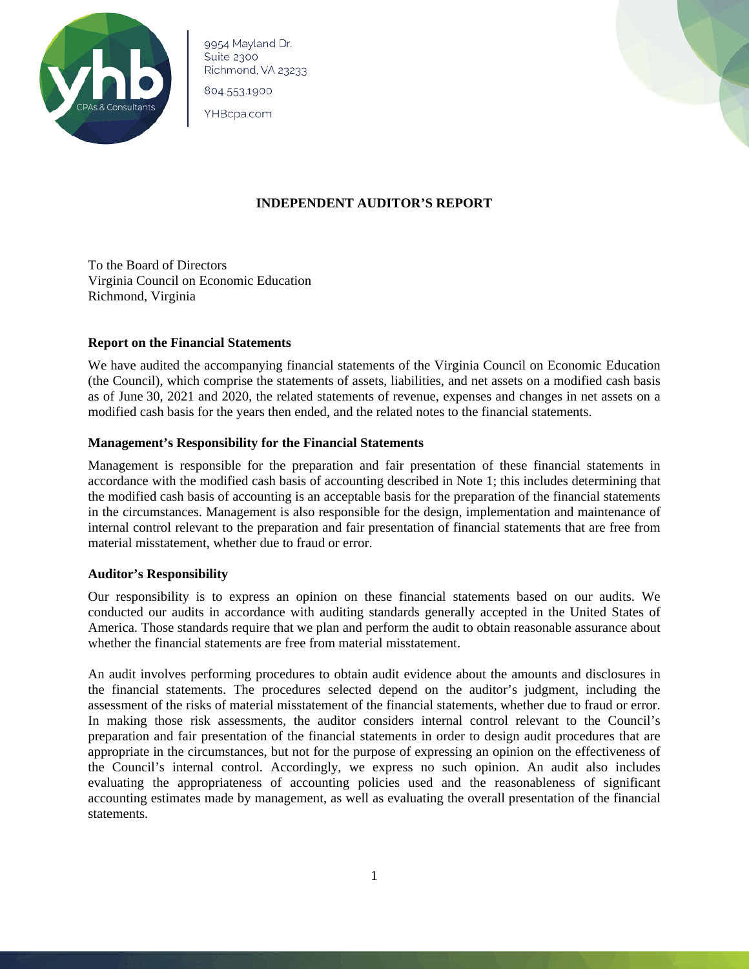

9954 Mayland Dr. Suite 2300 Richmond, VA 23233

804.553.1900

YHBcpa.com

# **INDEPENDENT AUDITOR'S REPORT**

To the Board of Directors Virginia Council on Economic Education Richmond, Virginia

## **Report on the Financial Statements**

We have audited the accompanying financial statements of the Virginia Council on Economic Education (the Council), which comprise the statements of assets, liabilities, and net assets on a modified cash basis as of June 30, 2021 and 2020, the related statements of revenue, expenses and changes in net assets on a modified cash basis for the years then ended, and the related notes to the financial statements.

## **Management's Responsibility for the Financial Statements**

Management is responsible for the preparation and fair presentation of these financial statements in accordance with the modified cash basis of accounting described in Note 1; this includes determining that the modified cash basis of accounting is an acceptable basis for the preparation of the financial statements in the circumstances. Management is also responsible for the design, implementation and maintenance of internal control relevant to the preparation and fair presentation of financial statements that are free from material misstatement, whether due to fraud or error.

## **Auditor's Responsibility**

Our responsibility is to express an opinion on these financial statements based on our audits. We conducted our audits in accordance with auditing standards generally accepted in the United States of America. Those standards require that we plan and perform the audit to obtain reasonable assurance about whether the financial statements are free from material misstatement.

An audit involves performing procedures to obtain audit evidence about the amounts and disclosures in the financial statements. The procedures selected depend on the auditor's judgment, including the assessment of the risks of material misstatement of the financial statements, whether due to fraud or error. In making those risk assessments, the auditor considers internal control relevant to the Council's preparation and fair presentation of the financial statements in order to design audit procedures that are appropriate in the circumstances, but not for the purpose of expressing an opinion on the effectiveness of the Council's internal control. Accordingly, we express no such opinion. An audit also includes evaluating the appropriateness of accounting policies used and the reasonableness of significant accounting estimates made by management, as well as evaluating the overall presentation of the financial statements.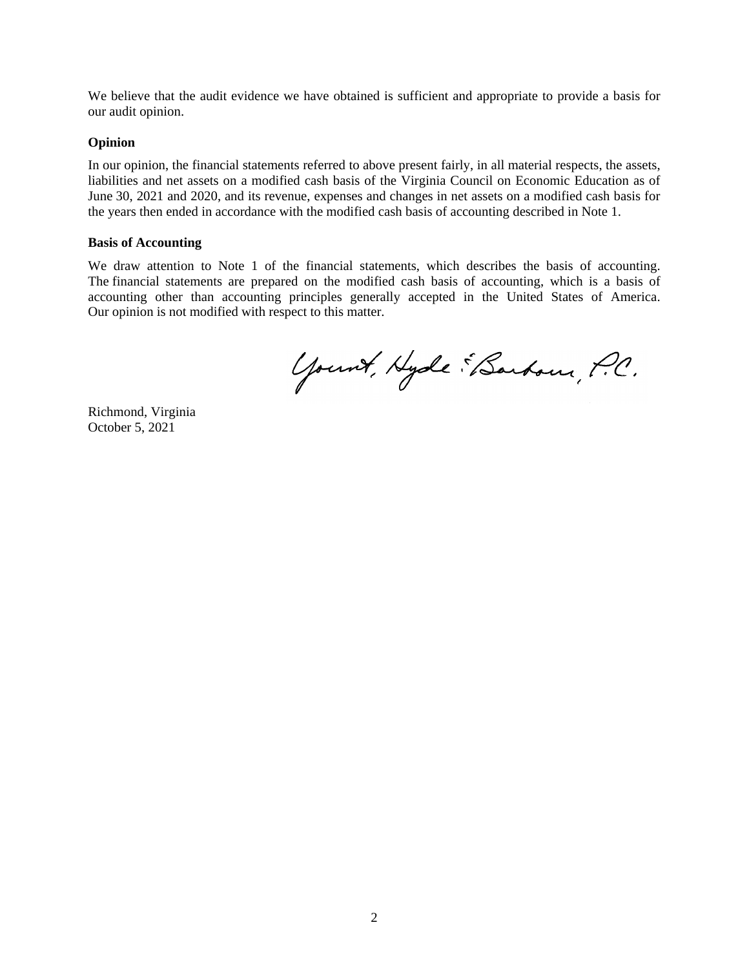We believe that the audit evidence we have obtained is sufficient and appropriate to provide a basis for our audit opinion.

#### **Opinion**

In our opinion, the financial statements referred to above present fairly, in all material respects, the assets, liabilities and net assets on a modified cash basis of the Virginia Council on Economic Education as of June 30, 2021 and 2020, and its revenue, expenses and changes in net assets on a modified cash basis for the years then ended in accordance with the modified cash basis of accounting described in Note 1.

### **Basis of Accounting**

We draw attention to Note 1 of the financial statements, which describes the basis of accounting. The financial statements are prepared on the modified cash basis of accounting, which is a basis of accounting other than accounting principles generally accepted in the United States of America. Our opinion is not modified with respect to this matter.

Yount, Hyde Earbour, P.C.

Richmond, Virginia October 5, 2021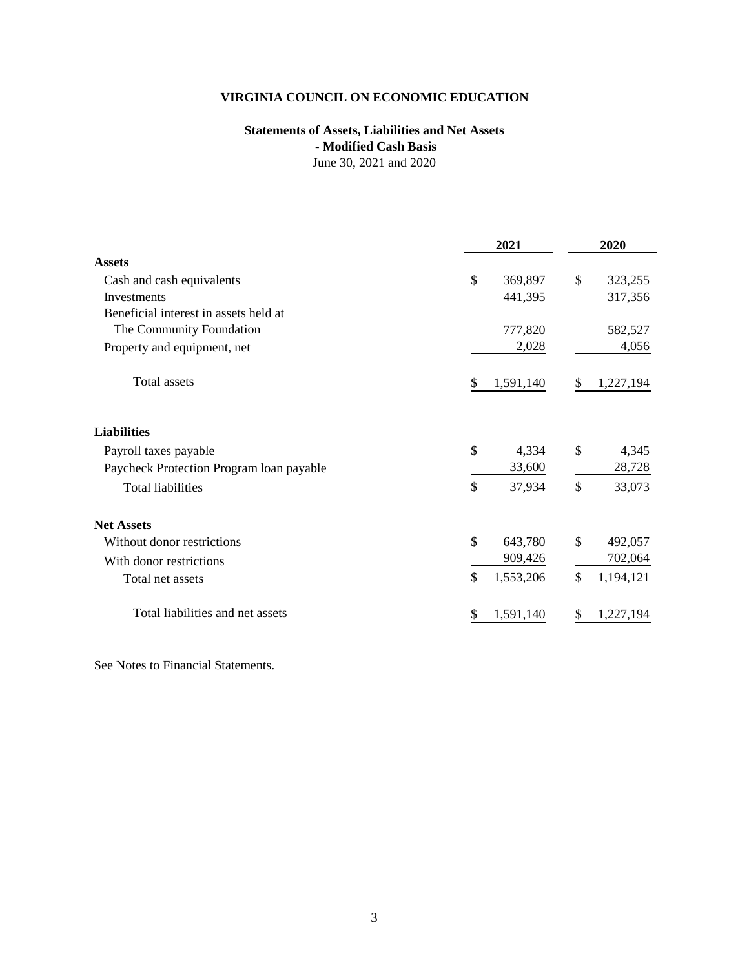## **Statements of Assets, Liabilities and Net Assets** June 30, 2021 and 2020  **- Modified Cash Basis**

|                                          | 2021                   | 2020            |  |  |
|------------------------------------------|------------------------|-----------------|--|--|
| Assets                                   |                        |                 |  |  |
| Cash and cash equivalents                | \$<br>369,897          | \$<br>323,255   |  |  |
| Investments                              | 441,395                | 317,356         |  |  |
| Beneficial interest in assets held at    |                        |                 |  |  |
| The Community Foundation                 | 777,820                | 582,527         |  |  |
| Property and equipment, net              | 2,028                  | 4,056           |  |  |
| Total assets                             | 1,591,140<br>\$        | \$<br>1,227,194 |  |  |
| Liabilities                              |                        |                 |  |  |
| Payroll taxes payable                    | $\mathcal{S}$<br>4,334 | \$<br>4,345     |  |  |
| Paycheck Protection Program loan payable | 33,600                 | 28,728          |  |  |
| <b>Total liabilities</b>                 | \$<br>37,934           | \$<br>33,073    |  |  |
| <b>Net Assets</b>                        |                        |                 |  |  |
| Without donor restrictions               | \$<br>643,780          | \$<br>492,057   |  |  |
| With donor restrictions                  | 909,426                | 702,064         |  |  |
| Total net assets                         | \$<br>1,553,206        | \$<br>1,194,121 |  |  |
| Total liabilities and net assets         | 1,591,140<br>\$        | 1,227,194<br>\$ |  |  |

See Notes to Financial Statements.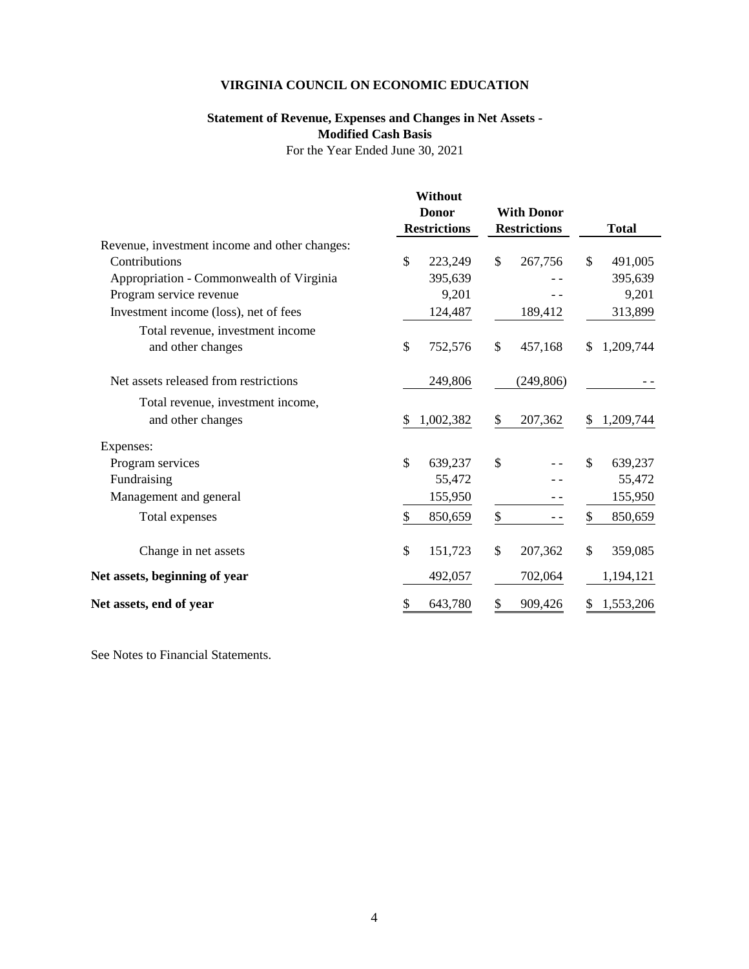# **Statement of Revenue, Expenses and Changes in Net Assets - Modified Cash Basis**

For the Year Ended June 30, 2021

|                                               | Without<br><b>Donor</b><br><b>Restrictions</b> |               | <b>With Donor</b><br><b>Restrictions</b> |     | <b>Total</b> |
|-----------------------------------------------|------------------------------------------------|---------------|------------------------------------------|-----|--------------|
| Revenue, investment income and other changes: |                                                |               |                                          |     |              |
| Contributions                                 | \$<br>223,249                                  | $\mathbb{S}$  | 267,756                                  | \$  | 491,005      |
| Appropriation - Commonwealth of Virginia      | 395,639                                        |               |                                          |     | 395,639      |
| Program service revenue                       |                                                | 9,201         |                                          |     | 9,201        |
| Investment income (loss), net of fees         | 124,487                                        |               | 189,412                                  |     | 313,899      |
| Total revenue, investment income              |                                                |               |                                          |     |              |
| and other changes                             | \$<br>752,576                                  | \$            | 457,168                                  | \$. | 1,209,744    |
| Net assets released from restrictions         | 249,806                                        |               | (249, 806)                               |     |              |
| Total revenue, investment income,             |                                                |               |                                          |     |              |
| and other changes                             | 1,002,382<br>\$.                               | \$            | 207,362                                  | \$  | 1,209,744    |
| Expenses:                                     |                                                |               |                                          |     |              |
| Program services                              | \$<br>639,237                                  | $\mathcal{S}$ |                                          | \$  | 639,237      |
| Fundraising                                   |                                                | 55,472        |                                          |     | 55,472       |
| Management and general                        | 155,950                                        |               |                                          |     | 155,950      |
| Total expenses                                | \$<br>850,659                                  | \$            |                                          | \$  | 850,659      |
| Change in net assets                          | \$<br>151,723                                  | \$            | 207,362                                  | \$  | 359,085      |
| Net assets, beginning of year                 | 492,057                                        |               | 702,064                                  |     | 1,194,121    |
| Net assets, end of year                       | \$<br>643,780                                  | \$            | 909,426                                  |     | 1,553,206    |

See Notes to Financial Statements.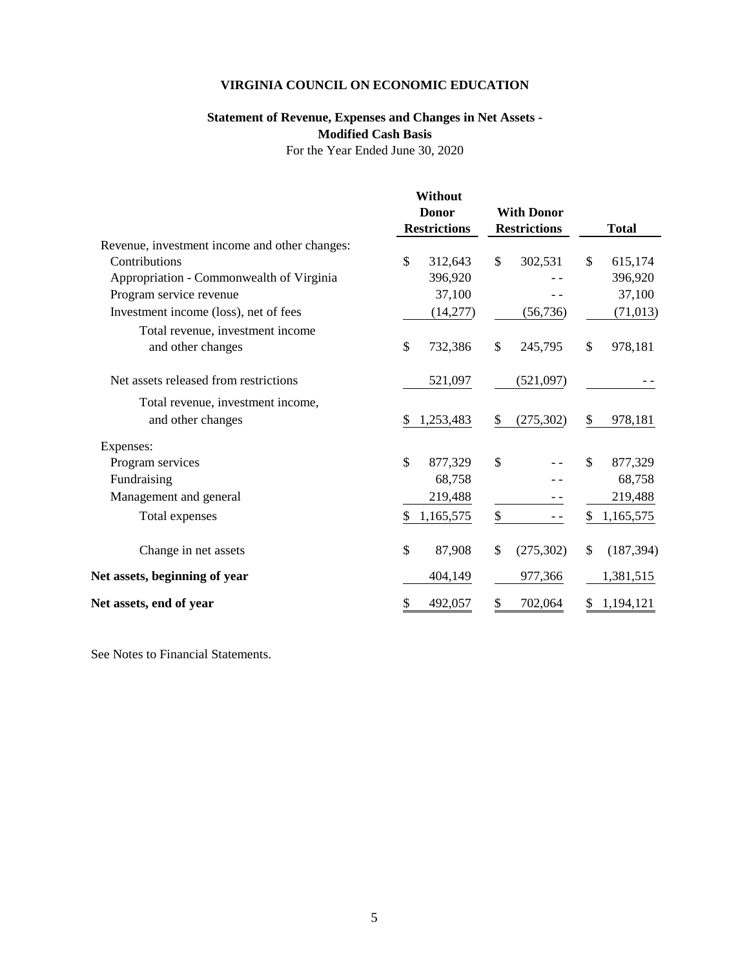# **Statement of Revenue, Expenses and Changes in Net Assets - Modified Cash Basis**

For the Year Ended June 30, 2020

|                                               | <b>Without</b>           |                         |                          |
|-----------------------------------------------|--------------------------|-------------------------|--------------------------|
|                                               | <b>Donor</b>             | <b>With Donor</b>       |                          |
|                                               | <b>Restrictions</b>      | <b>Restrictions</b>     | <b>Total</b>             |
| Revenue, investment income and other changes: |                          |                         |                          |
| Contributions                                 | \$<br>312,643            | $\mathbb{S}$<br>302,531 | \$<br>615,174            |
| Appropriation - Commonwealth of Virginia      | 396,920                  |                         | 396,920                  |
| Program service revenue                       | 37,100                   |                         | 37,100                   |
| Investment income (loss), net of fees         | (14,277)                 | (56, 736)               | (71, 013)                |
| Total revenue, investment income              |                          |                         |                          |
| and other changes                             | \$<br>732,386            | \$<br>245,795           | \$<br>978,181            |
| Net assets released from restrictions         | 521,097                  | (521,097)               |                          |
| Total revenue, investment income,             |                          |                         |                          |
| and other changes                             | 1,253,483<br>S           | \$<br>(275, 302)        | \$<br>978,181            |
| Expenses:                                     |                          |                         |                          |
| Program services                              | $\mathcal{S}$<br>877,329 | \$                      | $\mathcal{S}$<br>877,329 |
| Fundraising                                   | 68,758                   |                         | 68,758                   |
| Management and general                        | 219,488                  |                         | 219,488                  |
| Total expenses                                | 1,165,575<br>S           | \$<br>$ -$              | 1,165,575<br>S           |
| Change in net assets                          | \$<br>87,908             | \$<br>(275, 302)        | \$<br>(187, 394)         |
| Net assets, beginning of year                 | 404,149                  | 977,366                 | 1,381,515                |
| Net assets, end of year                       | \$<br>492,057            | 702,064<br>\$           | 1,194,121<br>\$          |

See Notes to Financial Statements.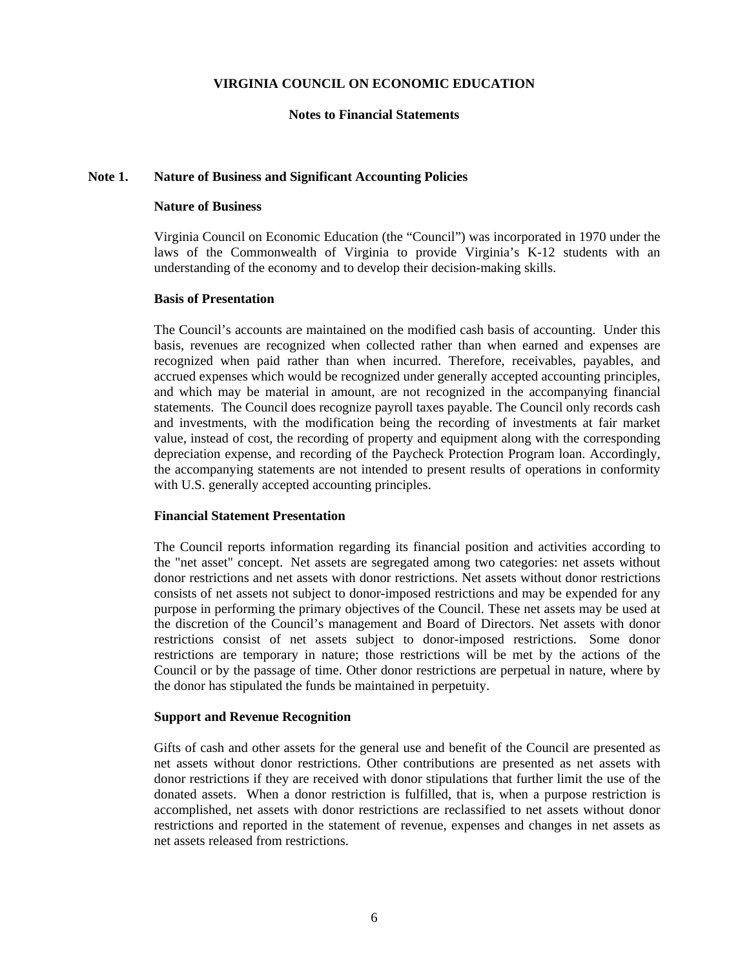#### **Notes to Financial Statements**

#### **Note 1. Nature of Business and Significant Accounting Policies**

#### **Nature of Business**

Virginia Council on Economic Education (the "Council") was incorporated in 1970 under the laws of the Commonwealth of Virginia to provide Virginia's K-12 students with an understanding of the economy and to develop their decision-making skills.

#### **Basis of Presentation**

The Council's accounts are maintained on the modified cash basis of accounting. Under this basis, revenues are recognized when collected rather than when earned and expenses are recognized when paid rather than when incurred. Therefore, receivables, payables, and accrued expenses which would be recognized under generally accepted accounting principles, and which may be material in amount, are not recognized in the accompanying financial statements. The Council does recognize payroll taxes payable. The Council only records cash and investments, with the modification being the recording of investments at fair market value, instead of cost, the recording of property and equipment along with the corresponding depreciation expense, and recording of the Paycheck Protection Program loan. Accordingly, the accompanying statements are not intended to present results of operations in conformity with U.S. generally accepted accounting principles.

#### **Financial Statement Presentation**

The Council reports information regarding its financial position and activities according to the "net asset" concept. Net assets are segregated among two categories: net assets without donor restrictions and net assets with donor restrictions. Net assets without donor restrictions consists of net assets not subject to donor-imposed restrictions and may be expended for any purpose in performing the primary objectives of the Council. These net assets may be used at the discretion of the Council's management and Board of Directors. Net assets with donor restrictions consist of net assets subject to donor-imposed restrictions. Some donor restrictions are temporary in nature; those restrictions will be met by the actions of the Council or by the passage of time. Other donor restrictions are perpetual in nature, where by the donor has stipulated the funds be maintained in perpetuity.

#### **Support and Revenue Recognition**

Gifts of cash and other assets for the general use and benefit of the Council are presented as net assets without donor restrictions. Other contributions are presented as net assets with donor restrictions if they are received with donor stipulations that further limit the use of the donated assets. When a donor restriction is fulfilled, that is, when a purpose restriction is accomplished, net assets with donor restrictions are reclassified to net assets without donor restrictions and reported in the statement of revenue, expenses and changes in net assets as net assets released from restrictions.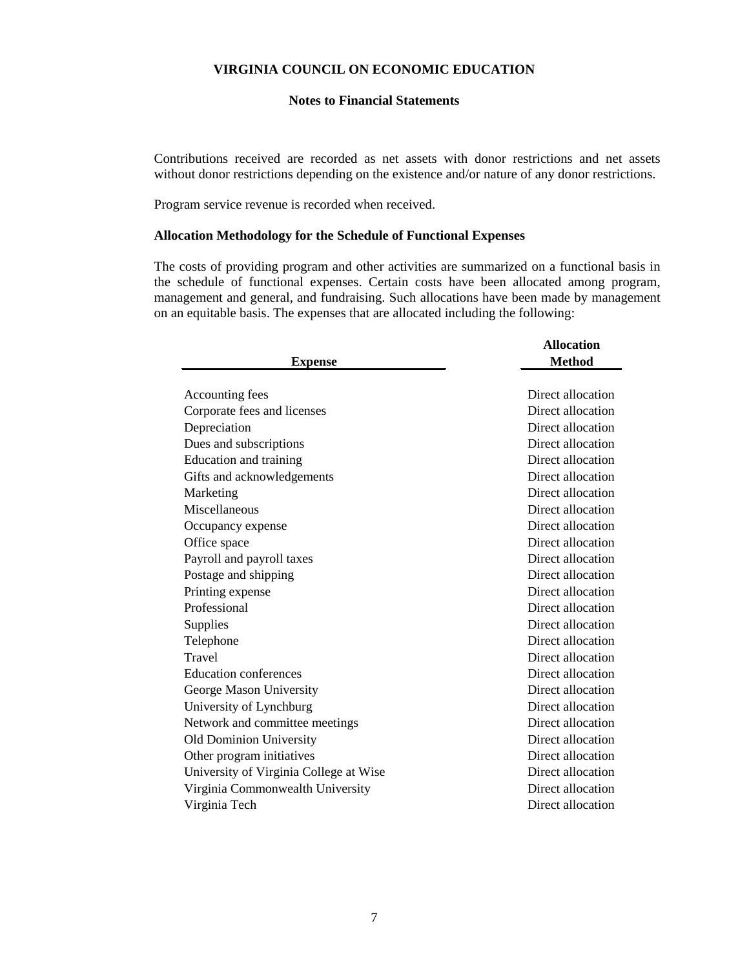#### **Notes to Financial Statements**

Contributions received are recorded as net assets with donor restrictions and net assets without donor restrictions depending on the existence and/or nature of any donor restrictions.

Program service revenue is recorded when received.

#### **Allocation Methodology for the Schedule of Functional Expenses**

The costs of providing program and other activities are summarized on a functional basis in the schedule of functional expenses. Certain costs have been allocated among program, management and general, and fundraising. Such allocations have been made by management on an equitable basis. The expenses that are allocated including the following:

|                                        | <b>Allocation</b> |
|----------------------------------------|-------------------|
| <b>Expense</b>                         | <b>Method</b>     |
|                                        |                   |
| Accounting fees                        | Direct allocation |
| Corporate fees and licenses            | Direct allocation |
| Depreciation                           | Direct allocation |
| Dues and subscriptions                 | Direct allocation |
| Education and training                 | Direct allocation |
| Gifts and acknowledgements             | Direct allocation |
| Marketing                              | Direct allocation |
| Miscellaneous                          | Direct allocation |
| Occupancy expense                      | Direct allocation |
| Office space                           | Direct allocation |
| Payroll and payroll taxes              | Direct allocation |
| Postage and shipping                   | Direct allocation |
| Printing expense                       | Direct allocation |
| Professional                           | Direct allocation |
| Supplies                               | Direct allocation |
| Telephone                              | Direct allocation |
| Travel                                 | Direct allocation |
| <b>Education conferences</b>           | Direct allocation |
| George Mason University                | Direct allocation |
| University of Lynchburg                | Direct allocation |
| Network and committee meetings         | Direct allocation |
| <b>Old Dominion University</b>         | Direct allocation |
| Other program initiatives              | Direct allocation |
| University of Virginia College at Wise | Direct allocation |
| Virginia Commonwealth University       | Direct allocation |
| Virginia Tech                          | Direct allocation |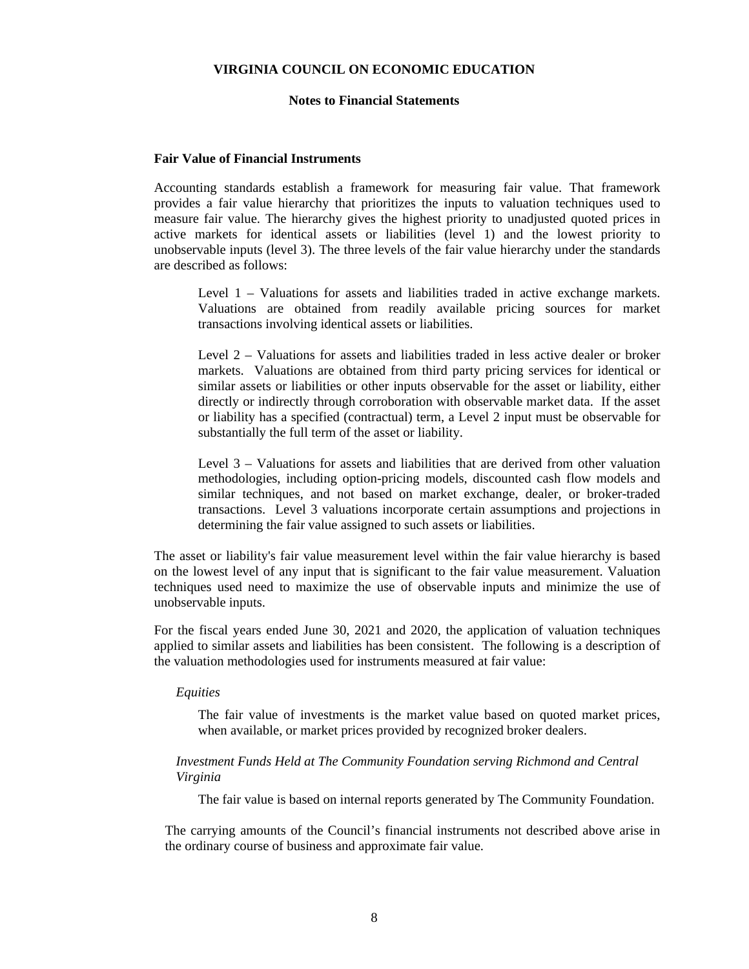#### **Notes to Financial Statements**

#### **Fair Value of Financial Instruments**

Accounting standards establish a framework for measuring fair value. That framework provides a fair value hierarchy that prioritizes the inputs to valuation techniques used to measure fair value. The hierarchy gives the highest priority to unadjusted quoted prices in active markets for identical assets or liabilities (level 1) and the lowest priority to unobservable inputs (level 3). The three levels of the fair value hierarchy under the standards are described as follows:

Level 1 – Valuations for assets and liabilities traded in active exchange markets. Valuations are obtained from readily available pricing sources for market transactions involving identical assets or liabilities.

Level 2 – Valuations for assets and liabilities traded in less active dealer or broker markets. Valuations are obtained from third party pricing services for identical or similar assets or liabilities or other inputs observable for the asset or liability, either directly or indirectly through corroboration with observable market data. If the asset or liability has a specified (contractual) term, a Level 2 input must be observable for substantially the full term of the asset or liability.

Level 3 – Valuations for assets and liabilities that are derived from other valuation methodologies, including option-pricing models, discounted cash flow models and similar techniques, and not based on market exchange, dealer, or broker-traded transactions. Level 3 valuations incorporate certain assumptions and projections in determining the fair value assigned to such assets or liabilities.

The asset or liability's fair value measurement level within the fair value hierarchy is based on the lowest level of any input that is significant to the fair value measurement. Valuation techniques used need to maximize the use of observable inputs and minimize the use of unobservable inputs.

For the fiscal years ended June 30, 2021 and 2020, the application of valuation techniques applied to similar assets and liabilities has been consistent. The following is a description of the valuation methodologies used for instruments measured at fair value:

#### *Equities*

The fair value of investments is the market value based on quoted market prices, when available, or market prices provided by recognized broker dealers.

#### *Investment Funds Held at The Community Foundation serving Richmond and Central Virginia*

The fair value is based on internal reports generated by The Community Foundation.

The carrying amounts of the Council's financial instruments not described above arise in the ordinary course of business and approximate fair value.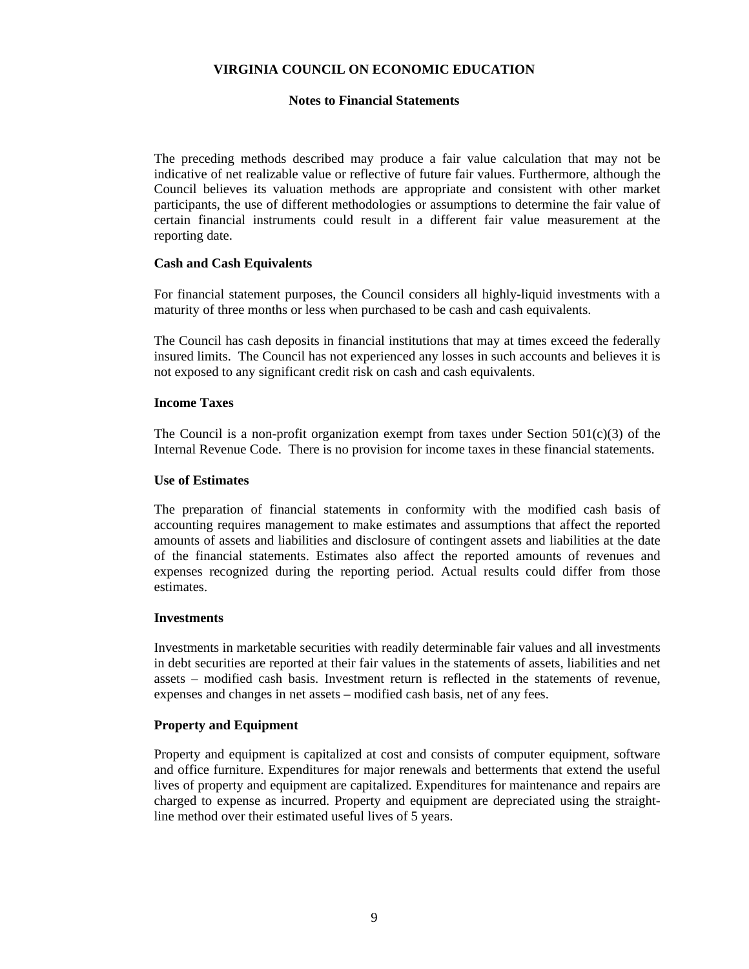#### **Notes to Financial Statements**

The preceding methods described may produce a fair value calculation that may not be indicative of net realizable value or reflective of future fair values. Furthermore, although the Council believes its valuation methods are appropriate and consistent with other market participants, the use of different methodologies or assumptions to determine the fair value of certain financial instruments could result in a different fair value measurement at the reporting date.

### **Cash and Cash Equivalents**

For financial statement purposes, the Council considers all highly-liquid investments with a maturity of three months or less when purchased to be cash and cash equivalents.

The Council has cash deposits in financial institutions that may at times exceed the federally insured limits. The Council has not experienced any losses in such accounts and believes it is not exposed to any significant credit risk on cash and cash equivalents.

### **Income Taxes**

The Council is a non-profit organization exempt from taxes under Section  $501(c)(3)$  of the Internal Revenue Code. There is no provision for income taxes in these financial statements.

#### **Use of Estimates**

The preparation of financial statements in conformity with the modified cash basis of accounting requires management to make estimates and assumptions that affect the reported amounts of assets and liabilities and disclosure of contingent assets and liabilities at the date of the financial statements. Estimates also affect the reported amounts of revenues and expenses recognized during the reporting period. Actual results could differ from those estimates.

#### **Investments**

Investments in marketable securities with readily determinable fair values and all investments in debt securities are reported at their fair values in the statements of assets, liabilities and net assets – modified cash basis. Investment return is reflected in the statements of revenue, expenses and changes in net assets – modified cash basis, net of any fees.

#### **Property and Equipment**

Property and equipment is capitalized at cost and consists of computer equipment, software and office furniture. Expenditures for major renewals and betterments that extend the useful lives of property and equipment are capitalized. Expenditures for maintenance and repairs are charged to expense as incurred. Property and equipment are depreciated using the straightline method over their estimated useful lives of 5 years.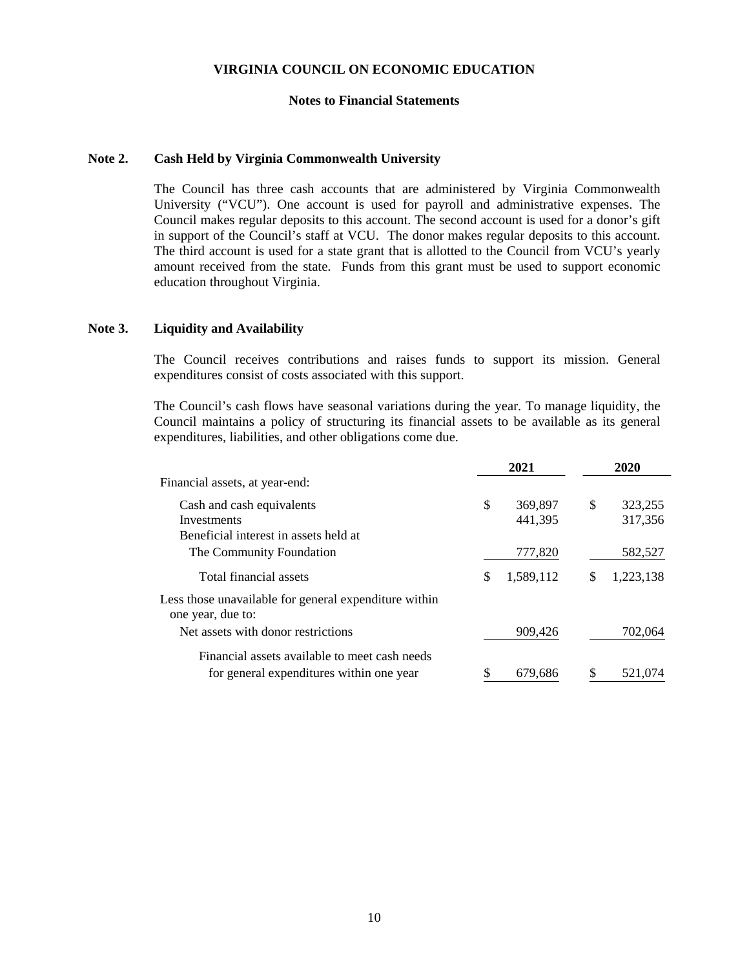#### **Notes to Financial Statements**

#### **Note 2. Cash Held by Virginia Commonwealth University**

The Council has three cash accounts that are administered by Virginia Commonwealth University ("VCU"). One account is used for payroll and administrative expenses. The Council makes regular deposits to this account. The second account is used for a donor's gift in support of the Council's staff at VCU. The donor makes regular deposits to this account. The third account is used for a state grant that is allotted to the Council from VCU's yearly amount received from the state. Funds from this grant must be used to support economic education throughout Virginia.

#### **Note 3. Liquidity and Availability**

The Council receives contributions and raises funds to support its mission. General expenditures consist of costs associated with this support.

The Council's cash flows have seasonal variations during the year. To manage liquidity, the Council maintains a policy of structuring its financial assets to be available as its general expenditures, liabilities, and other obligations come due.

|                                                                                   |    | 2021               | 2020                     |
|-----------------------------------------------------------------------------------|----|--------------------|--------------------------|
| Financial assets, at year-end:                                                    |    |                    |                          |
| Cash and cash equivalents<br>Investments<br>Beneficial interest in assets held at | \$ | 369,897<br>441,395 | \$<br>323,255<br>317,356 |
| The Community Foundation                                                          |    | 777,820            | 582,527                  |
| Total financial assets                                                            | \$ | 1,589,112          | \$<br>1,223,138          |
| Less those unavailable for general expenditure within<br>one year, due to:        |    |                    |                          |
| Net assets with donor restrictions                                                |    | 909,426            | 702,064                  |
| Financial assets available to meet cash needs                                     |    |                    |                          |
| for general expenditures within one year                                          | S  | 679,686            | 521,074                  |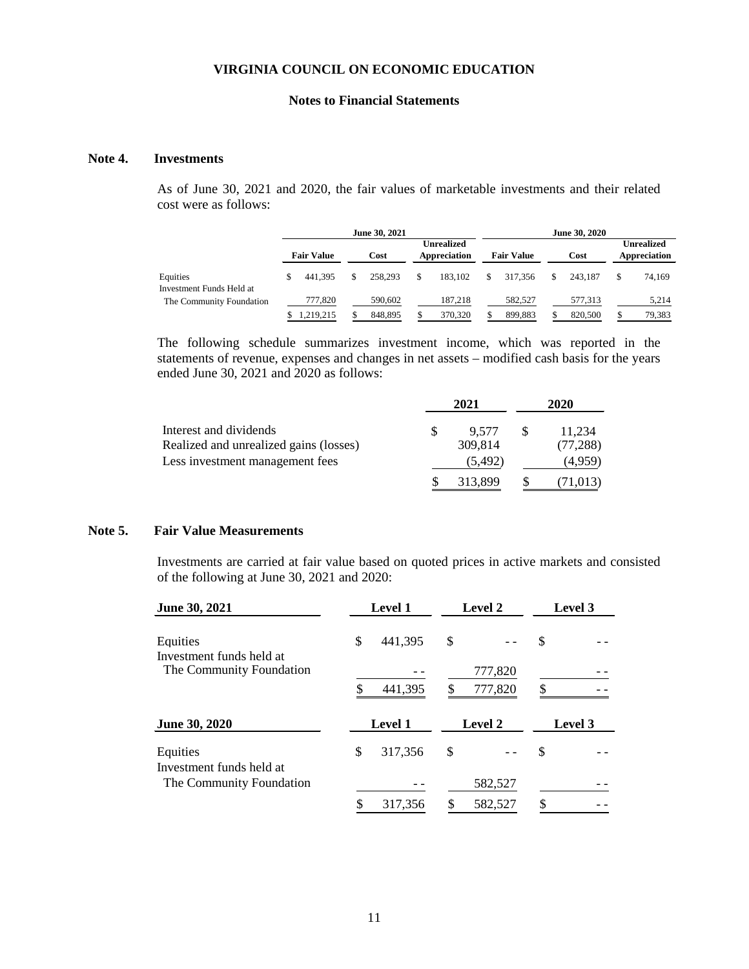#### **Notes to Financial Statements**

#### **Note 4. Investments**

As of June 30, 2021 and 2020, the fair values of marketable investments and their related cost were as follows:

|                                      |                   | <b>June 30, 2021</b> |                                   |                   | <b>June 30, 2020</b> |                                   |
|--------------------------------------|-------------------|----------------------|-----------------------------------|-------------------|----------------------|-----------------------------------|
|                                      | <b>Fair Value</b> | Cost                 | <b>Unrealized</b><br>Appreciation | <b>Fair Value</b> | Cost                 | <b>Unrealized</b><br>Appreciation |
| Equities<br>Investment Funds Held at | 441.395           | \$<br>258.293        | 183.102                           | 317.356           | 243.187              | 74.169                            |
| The Community Foundation             | 777,820           | 590,602              | 187.218                           | 582,527           | 577.313              | 5,214                             |
|                                      | 1,219,215         | 848,895              | 370,320                           | 899,883           | 820,500              | 79,383                            |

The following schedule summarizes investment income, which was reported in the statements of revenue, expenses and changes in net assets – modified cash basis for the years ended June 30, 2021 and 2020 as follows:

|                                        | 2021     | 2020      |
|----------------------------------------|----------|-----------|
| Interest and dividends                 | 9.577    | 11.234    |
| Realized and unrealized gains (losses) | 309.814  | (77, 288) |
| Less investment management fees        | (5, 492) | (4,959)   |
|                                        | 313,899  | (71, 013) |

#### **Note 5. Fair Value Measurements**

Investments are carried at fair value based on quoted prices in active markets and consisted of the following at June 30, 2021 and 2020:

| June 30, 2021                        | <b>Level 1</b> |                | <b>Level 2</b> |                | Level 3 |         |
|--------------------------------------|----------------|----------------|----------------|----------------|---------|---------|
| Equities<br>Investment funds held at | \$             | 441,395        | \$             |                | \$      |         |
| The Community Foundation             |                |                |                | 777,820        |         |         |
|                                      |                | 441,395        |                | 777,820        |         |         |
| <b>June 30, 2020</b>                 |                | <b>Level 1</b> |                | <b>Level 2</b> |         | Level 3 |
| Equities<br>Investment funds held at | \$             | 317,356        | \$             |                | \$      |         |
| The Community Foundation             |                |                |                | 582,527        |         |         |
|                                      | \$             | 317,356        | \$             | 582,527        | S       |         |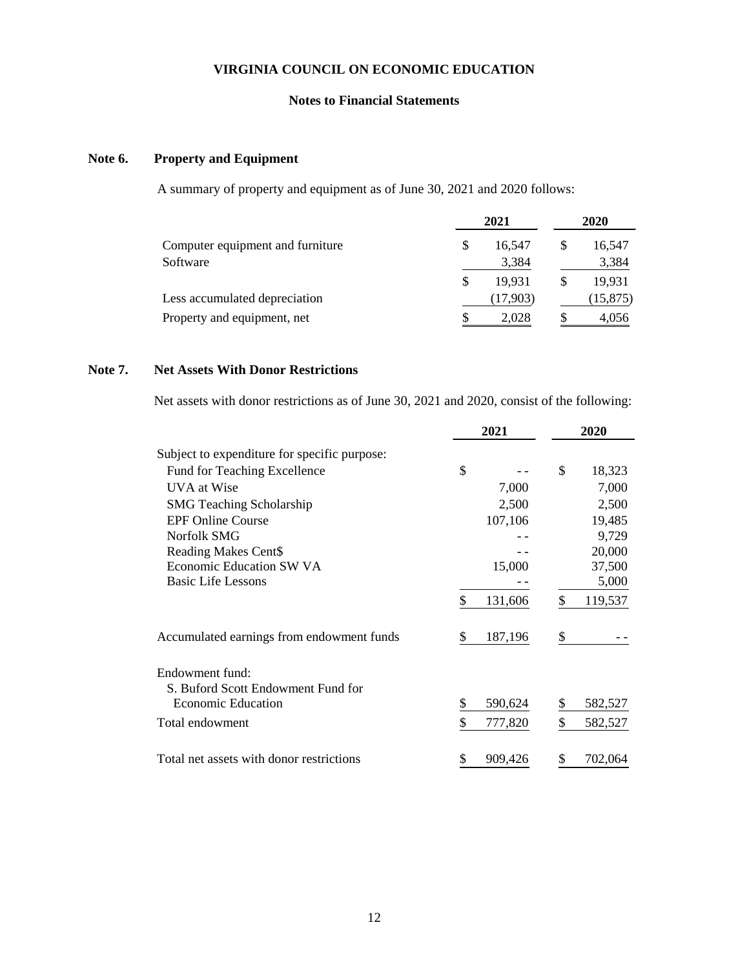## **Notes to Financial Statements**

# **Note 6. Property and Equipment**

A summary of property and equipment as of June 30, 2021 and 2020 follows:

|                                  |  | 2020     |  |           |
|----------------------------------|--|----------|--|-----------|
| Computer equipment and furniture |  | 16.547   |  | 16,547    |
| Software                         |  | 3,384    |  | 3,384     |
|                                  |  | 19.931   |  | 19.931    |
| Less accumulated depreciation    |  | (17,903) |  | (15, 875) |
| Property and equipment, net      |  | 2.028    |  | 4,056     |

## **Note 7. Net Assets With Donor Restrictions**

Net assets with donor restrictions as of June 30, 2021 and 2020, consist of the following:

|                                                       | 2021 |         |    | 2020    |
|-------------------------------------------------------|------|---------|----|---------|
| Subject to expenditure for specific purpose:          |      |         |    |         |
| Fund for Teaching Excellence                          | \$   |         | \$ | 18,323  |
| <b>UVA</b> at Wise                                    |      | 7,000   |    | 7,000   |
| <b>SMG</b> Teaching Scholarship                       |      | 2,500   |    | 2,500   |
| <b>EPF Online Course</b>                              |      | 107,106 |    | 19,485  |
| Norfolk SMG                                           |      |         |    | 9,729   |
| Reading Makes Cent\$                                  |      |         |    | 20,000  |
| <b>Economic Education SW VA</b>                       |      | 15,000  |    | 37,500  |
| <b>Basic Life Lessons</b>                             |      |         |    | 5,000   |
|                                                       | \$   | 131,606 | S  | 119,537 |
| Accumulated earnings from endowment funds             | \$   | 187,196 | \$ |         |
| Endowment fund:<br>S. Buford Scott Endowment Fund for |      |         |    |         |
| <b>Economic Education</b>                             | \$   | 590,624 | \$ | 582,527 |
| Total endowment                                       | \$   | 777,820 | \$ | 582,527 |
| Total net assets with donor restrictions              | \$   | 909,426 | \$ | 702,064 |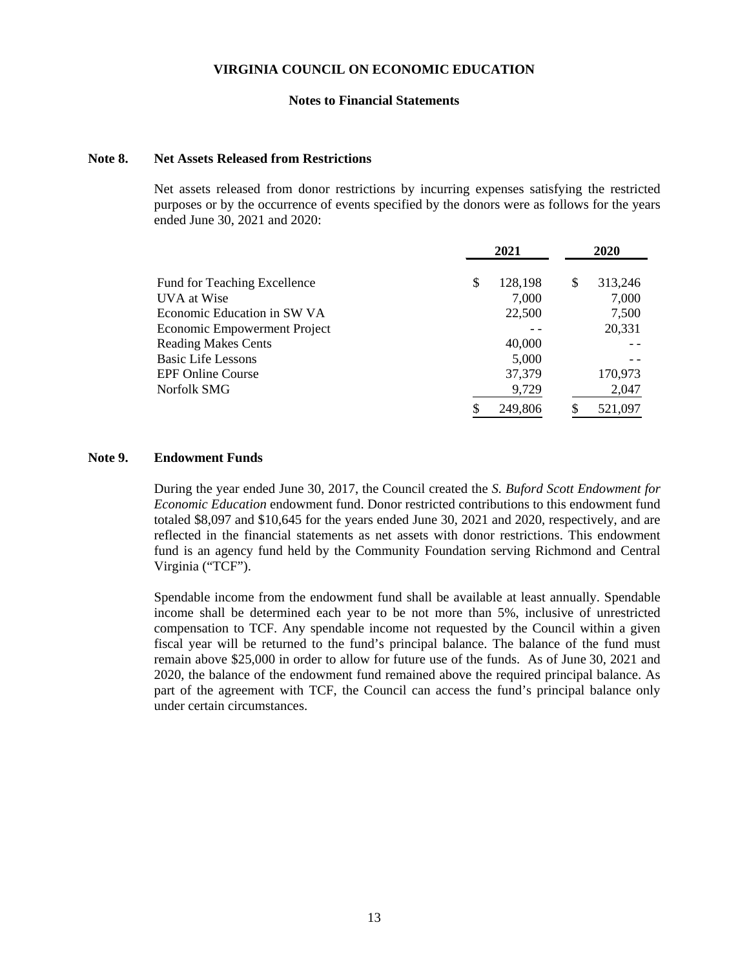#### **Notes to Financial Statements**

#### **Note 8. Net Assets Released from Restrictions**

Net assets released from donor restrictions by incurring expenses satisfying the restricted purposes or by the occurrence of events specified by the donors were as follows for the years ended June 30, 2021 and 2020:

|                                     |    | 2021    |   | 2020    |
|-------------------------------------|----|---------|---|---------|
| <b>Fund for Teaching Excellence</b> | S  | 128,198 | S | 313,246 |
| UVA at Wise                         |    | 7,000   |   | 7,000   |
| Economic Education in SW VA         |    | 22,500  |   | 7,500   |
| Economic Empowerment Project        |    |         |   | 20,331  |
| <b>Reading Makes Cents</b>          |    | 40,000  |   |         |
| <b>Basic Life Lessons</b>           |    | 5,000   |   |         |
| <b>EPF Online Course</b>            |    | 37,379  |   | 170,973 |
| Norfolk SMG                         |    | 9,729   |   | 2,047   |
|                                     | \$ | 249,806 | S | 521,097 |

#### **Note 9. Endowment Funds**

During the year ended June 30, 2017, the Council created the *S. Buford Scott Endowment for Economic Education* endowment fund. Donor restricted contributions to this endowment fund totaled \$8,097 and \$10,645 for the years ended June 30, 2021 and 2020, respectively, and are reflected in the financial statements as net assets with donor restrictions. This endowment fund is an agency fund held by the Community Foundation serving Richmond and Central Virginia ("TCF").

Spendable income from the endowment fund shall be available at least annually. Spendable income shall be determined each year to be not more than 5%, inclusive of unrestricted compensation to TCF. Any spendable income not requested by the Council within a given fiscal year will be returned to the fund's principal balance. The balance of the fund must remain above \$25,000 in order to allow for future use of the funds. As of June 30, 2021 and 2020, the balance of the endowment fund remained above the required principal balance. As part of the agreement with TCF, the Council can access the fund's principal balance only under certain circumstances.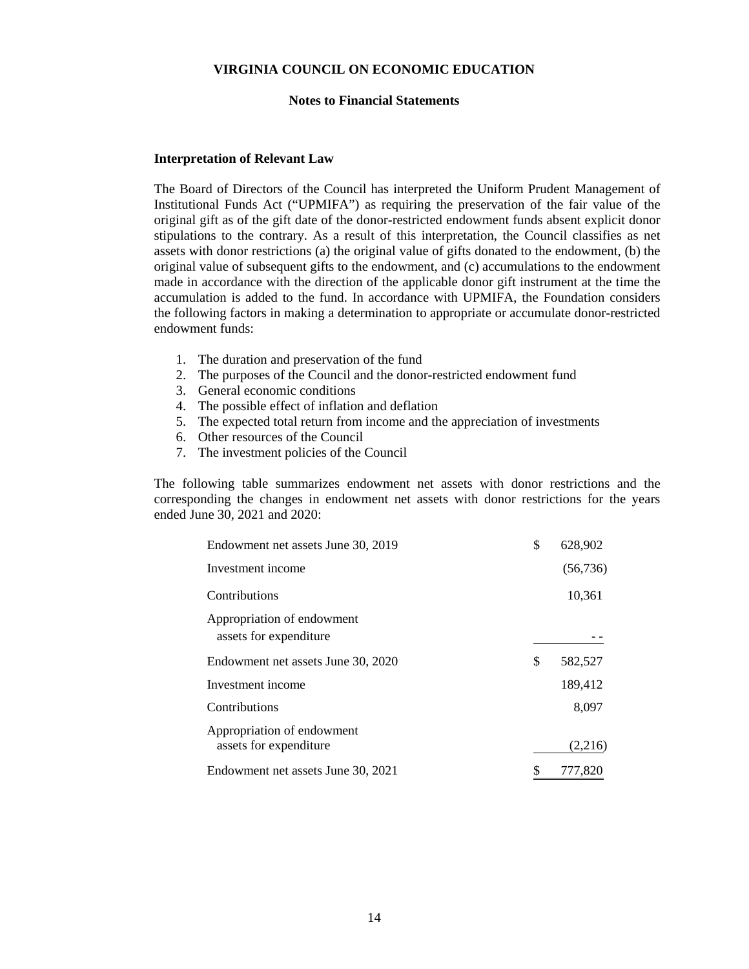#### **Notes to Financial Statements**

#### **Interpretation of Relevant Law**

The Board of Directors of the Council has interpreted the Uniform Prudent Management of Institutional Funds Act ("UPMIFA") as requiring the preservation of the fair value of the original gift as of the gift date of the donor-restricted endowment funds absent explicit donor stipulations to the contrary. As a result of this interpretation, the Council classifies as net assets with donor restrictions (a) the original value of gifts donated to the endowment, (b) the original value of subsequent gifts to the endowment, and (c) accumulations to the endowment made in accordance with the direction of the applicable donor gift instrument at the time the accumulation is added to the fund. In accordance with UPMIFA, the Foundation considers the following factors in making a determination to appropriate or accumulate donor-restricted endowment funds:

- 1. The duration and preservation of the fund
- 2. The purposes of the Council and the donor-restricted endowment fund
- 3. General economic conditions
- 4. The possible effect of inflation and deflation
- 5. The expected total return from income and the appreciation of investments
- 6. Other resources of the Council
- 7. The investment policies of the Council

The following table summarizes endowment net assets with donor restrictions and the corresponding the changes in endowment net assets with donor restrictions for the years ended June 30, 2021 and 2020:

| Endowment net assets June 30, 2019                   | \$<br>628,902 |
|------------------------------------------------------|---------------|
| Investment income                                    | (56, 736)     |
| Contributions                                        | 10,361        |
| Appropriation of endowment<br>assets for expenditure |               |
| Endowment net assets June 30, 2020                   | \$<br>582,527 |
| Investment income                                    | 189,412       |
| Contributions                                        | 8,097         |
| Appropriation of endowment<br>assets for expenditure | (2,216)       |
| Endowment net assets June 30, 2021                   | \$<br>777,820 |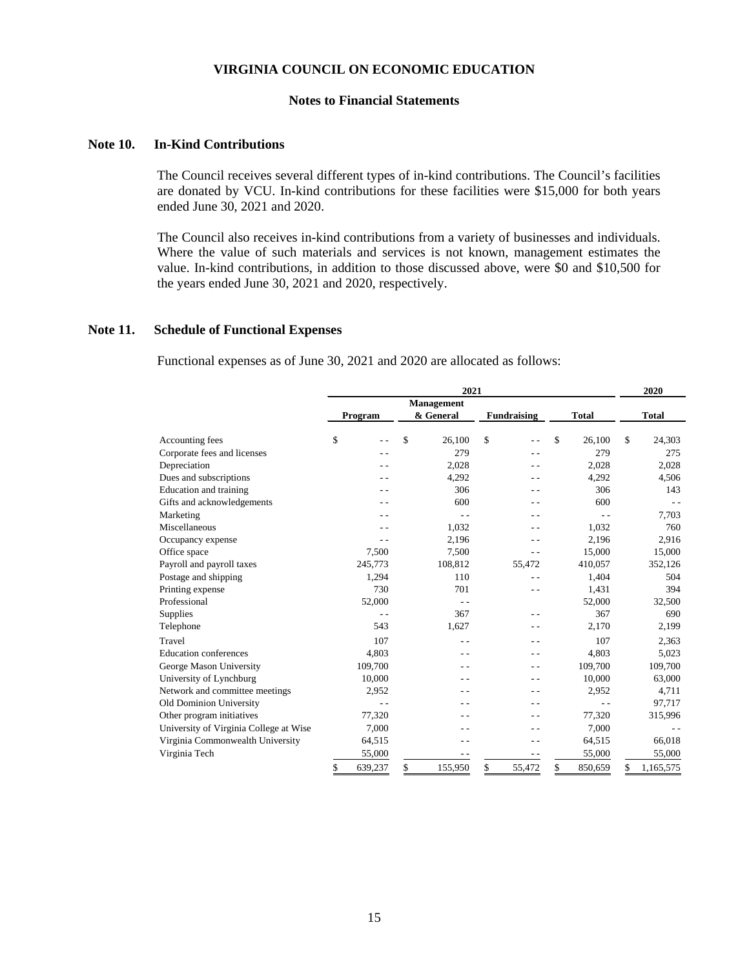#### **Notes to Financial Statements**

## **Note 10. In-Kind Contributions**

The Council receives several different types of in-kind contributions. The Council's facilities are donated by VCU. In-kind contributions for these facilities were \$15,000 for both years ended June 30, 2021 and 2020.

The Council also receives in-kind contributions from a variety of businesses and individuals. Where the value of such materials and services is not known, management estimates the value. In-kind contributions, in addition to those discussed above, were \$0 and \$10,500 for the years ended June 30, 2021 and 2020, respectively.

### **Note 11. Schedule of Functional Expenses**

Functional expenses as of June 30, 2021 and 2020 are allocated as follows:

|                                        |                   |         | 2021      |               |                    |        |              |         |              | 2020      |  |
|----------------------------------------|-------------------|---------|-----------|---------------|--------------------|--------|--------------|---------|--------------|-----------|--|
|                                        | <b>Management</b> |         |           |               |                    |        |              |         |              |           |  |
|                                        | Program           |         | & General |               | <b>Fundraising</b> |        | <b>Total</b> |         | <b>Total</b> |           |  |
| Accounting fees                        | \$                |         | \$        | 26,100        | \$                 |        | \$           | 26,100  | \$           | 24,303    |  |
| Corporate fees and licenses            |                   |         |           | 279           |                    |        |              | 279     |              | 275       |  |
| Depreciation                           |                   | - -     |           | 2,028         |                    |        |              | 2,028   |              | 2,028     |  |
| Dues and subscriptions                 |                   | - -     |           | 4,292         |                    |        |              | 4,292   |              | 4,506     |  |
| Education and training                 |                   | - -     |           | 306           |                    | - -    |              | 306     |              | 143       |  |
| Gifts and acknowledgements             |                   | - -     |           | 600           |                    |        |              | 600     |              |           |  |
| Marketing                              |                   | . .     |           | $ -$          |                    | - -    |              | $-$     |              | 7,703     |  |
| Miscellaneous                          |                   |         |           | 1,032         |                    |        |              | 1,032   |              | 760       |  |
| Occupancy expense                      |                   | - -     |           | 2,196         |                    |        |              | 2,196   |              | 2,916     |  |
| Office space                           |                   | 7,500   |           | 7,500         |                    | - -    |              | 15,000  |              | 15,000    |  |
| Payroll and payroll taxes              |                   | 245,773 |           | 108,812       |                    | 55,472 |              | 410,057 |              | 352,126   |  |
| Postage and shipping                   |                   | 1,294   |           | 110           |                    | - -    |              | 1,404   |              | 504       |  |
| Printing expense                       |                   | 730     |           | 701           |                    | $-$    |              | 1,431   |              | 394       |  |
| Professional                           |                   | 52,000  |           | $\sim$ $\sim$ |                    |        |              | 52,000  |              | 32,500    |  |
| Supplies                               |                   | $ -$    |           | 367           |                    | - -    |              | 367     |              | 690       |  |
| Telephone                              |                   | 543     |           | 1,627         |                    | - -    |              | 2,170   |              | 2,199     |  |
| Travel                                 |                   | 107     |           |               |                    |        |              | 107     |              | 2,363     |  |
| Education conferences                  |                   | 4,803   |           |               |                    |        |              | 4,803   |              | 5,023     |  |
| George Mason University                |                   | 109,700 |           |               |                    | $ -$   |              | 109,700 |              | 109,700   |  |
| University of Lynchburg                |                   | 10,000  |           | - -           |                    | - -    |              | 10,000  |              | 63,000    |  |
| Network and committee meetings         |                   | 2,952   |           |               |                    |        |              | 2,952   |              | 4,711     |  |
| Old Dominion University                |                   |         |           |               |                    |        |              |         |              | 97,717    |  |
| Other program initiatives              |                   | 77,320  |           |               |                    |        |              | 77,320  |              | 315,996   |  |
| University of Virginia College at Wise |                   | 7,000   |           |               |                    | - -    |              | 7,000   |              | $ -$      |  |
| Virginia Commonwealth University       |                   | 64,515  |           |               |                    |        |              | 64,515  |              | 66,018    |  |
| Virginia Tech                          |                   | 55,000  |           |               |                    | - -    |              | 55,000  |              | 55,000    |  |
|                                        | \$                | 639,237 | \$        | 155,950       | \$                 | 55,472 | \$           | 850,659 | \$           | 1,165,575 |  |